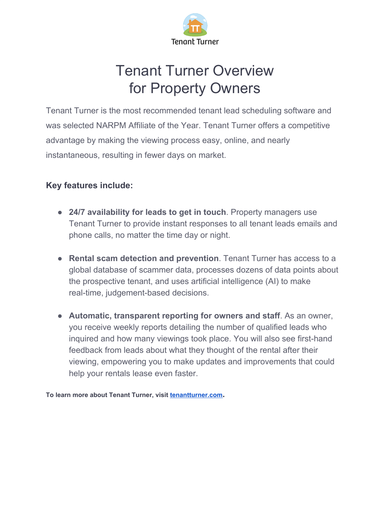

### Tenant Turner Overview for Property Owners

Tenant Turner is the most recommended tenant lead scheduling software and was selected NARPM Affiliate of the Year. Tenant Turner offers a competitive advantage by making the viewing process easy, online, and nearly instantaneous, resulting in fewer days on market.

#### **Key features include:**

- **24/7 availability for leads to get in touch**. Property managers use Tenant Turner to provide instant responses to all tenant leads emails and phone calls, no matter the time day or night.
- **Rental scam detection and prevention**. Tenant Turner has access to a global database of scammer data, processes dozens of data points about the prospective tenant, and uses artificial intelligence (AI) to make real-time, judgement-based decisions.
- **Automatic, transparent reporting for owners and staff**. As an owner, you receive weekly reports detailing the number of qualified leads who inquired and how many viewings took place. You will also see first-hand feedback from leads about what they thought of the rental after their viewing, empowering you to make updates and improvements that could help your rentals lease even faster.

**To learn more about Tenant Turner, visit [tenantturner.com](https://tenantturner.com/?utm_source=Tenant+Turner&utm_medium=downloadable-content&utm_campaign=self+showing+overview+kit+for+property+owners&utm_content=learn-more-link).**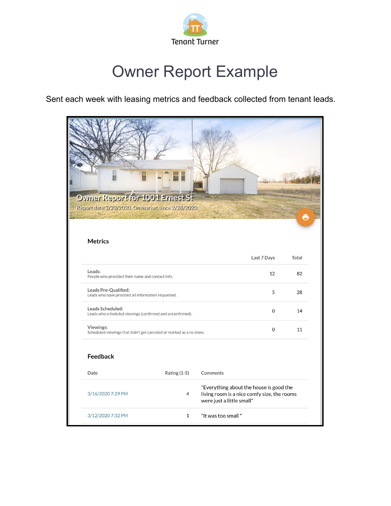

# Owner Report Example

Sent each week with leasing metrics and feedback collected from tenant leads.

| <b>Owner Report for 1001 Ernest St</b><br>Report date 3/23/2020. On market since 2/28/2020.<br><b>Metrics</b> |                     |          |                                                                                                                     | o     |  |
|---------------------------------------------------------------------------------------------------------------|---------------------|----------|---------------------------------------------------------------------------------------------------------------------|-------|--|
|                                                                                                               |                     |          | Last 7 Days                                                                                                         | Total |  |
| Leads:<br>People who provided their name and contact info.                                                    |                     |          | 12                                                                                                                  | 82    |  |
| Leads Pre-Qualified:<br>Leads who have provided all information requested.                                    |                     |          | 5                                                                                                                   | 28    |  |
| Leads Scheduled:<br>Leads who scheduled viewings (confirmed and unconfirmed).                                 |                     |          | 0                                                                                                                   | 14    |  |
| Viewings:<br>Scheduled viewings that didn't get canceled or marked as a no show.                              |                     |          | $\mathbf 0$                                                                                                         | 11    |  |
| <b>Feedback</b>                                                                                               |                     |          |                                                                                                                     |       |  |
| Date                                                                                                          | <b>Rating (1-5)</b> | Comments |                                                                                                                     |       |  |
| 3/16/2020 7:29 PM                                                                                             | $\overline{4}$      |          | "Everything about the house is good the<br>living room is a nice comfy size, the rooms<br>were just a little small" |       |  |
|                                                                                                               |                     |          |                                                                                                                     |       |  |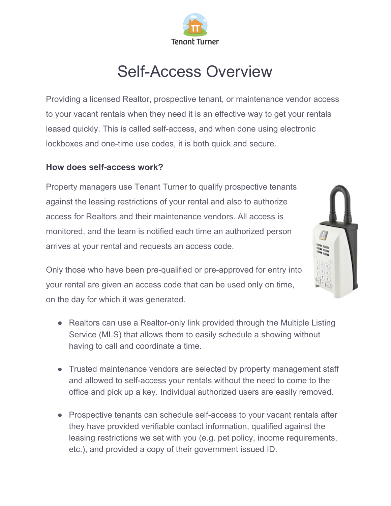

## Self-Access Overview

Providing a licensed Realtor, prospective tenant, or maintenance vendor access to your vacant rentals when they need it is an effective way to get your rentals leased quickly. This is called self-access, and when done using electronic lockboxes and one-time use codes, it is both quick and secure.

#### **How does self-access work?**

Property managers use Tenant Turner to qualify prospective tenants against the leasing restrictions of your rental and also to authorize access for Realtors and their maintenance vendors. All access is monitored, and the team is notified each time an authorized person arrives at your rental and requests an access code.



Only those who have been pre-qualified or pre-approved for entry into your rental are given an access code that can be used only on time, on the day for which it was generated.

- Realtors can use a Realtor-only link provided through the Multiple Listing Service (MLS) that allows them to easily schedule a showing without having to call and coordinate a time.
- Trusted maintenance vendors are selected by property management staff and allowed to self-access your rentals without the need to come to the office and pick up a key. Individual authorized users are easily removed.
- Prospective tenants can schedule self-access to your vacant rentals after they have provided verifiable contact information, qualified against the leasing restrictions we set with you (e.g. pet policy, income requirements, etc.), and provided a copy of their government issued ID.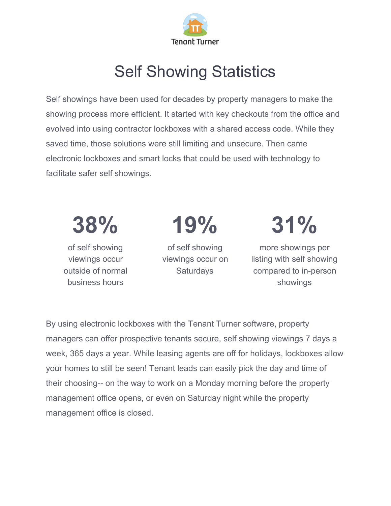

# Self Showing Statistics

Self showings have been used for decades by property managers to make the showing process more efficient. It started with key checkouts from the office and evolved into using contractor lockboxes with a shared access code. While they saved time, those solutions were still limiting and unsecure. Then came electronic lockboxes and smart locks that could be used with technology to facilitate safer self showings.



By using electronic lockboxes with the Tenant Turner software, property managers can offer prospective tenants secure, self showing viewings 7 days a week, 365 days a year. While leasing agents are off for holidays, lockboxes allow your homes to still be seen! Tenant leads can easily pick the day and time of their choosing-- on the way to work on a Monday morning before the property management office opens, or even on Saturday night while the property management office is closed.